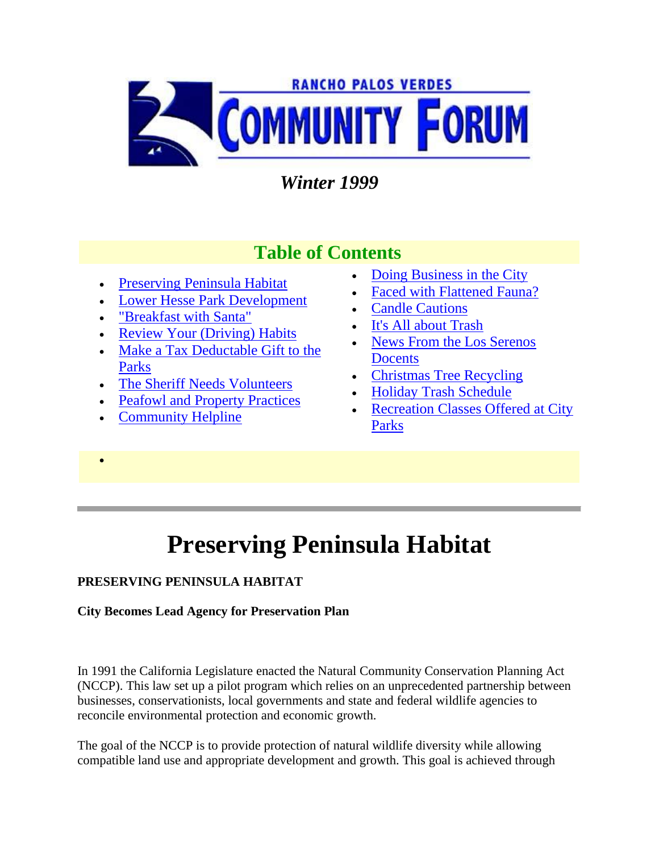

### *Winter 1999*

### **Table of Contents**

- Preserving Peninsula Habitat
- Lower Hesse Park Development
- "Breakfast with Santa"
- Review Your (Driving) Habits
- Make a Tax Deductable Gift to the Parks
- The Sheriff Needs Volunteers
- Peafowl and Property Practices
- Community Helpline

 $\bullet$ 

- Doing Business in the City
- Faced with Flattened Fauna?
- Candle Cautions
- It's All about Trash
- News From the Los Serenos **Docents**
- Christmas Tree Recycling
- Holiday Trash Schedule
- Recreation Classes Offered at City Parks

# **Preserving Peninsula Habitat**

### **PRESERVING PENINSULA HABITAT**

#### **City Becomes Lead Agency for Preservation Plan**

In 1991 the California Legislature enacted the Natural Community Conservation Planning Act (NCCP). This law set up a pilot program which relies on an unprecedented partnership between businesses, conservationists, local governments and state and federal wildlife agencies to reconcile environmental protection and economic growth.

The goal of the NCCP is to provide protection of natural wildlife diversity while allowing compatible land use and appropriate development and growth. This goal is achieved through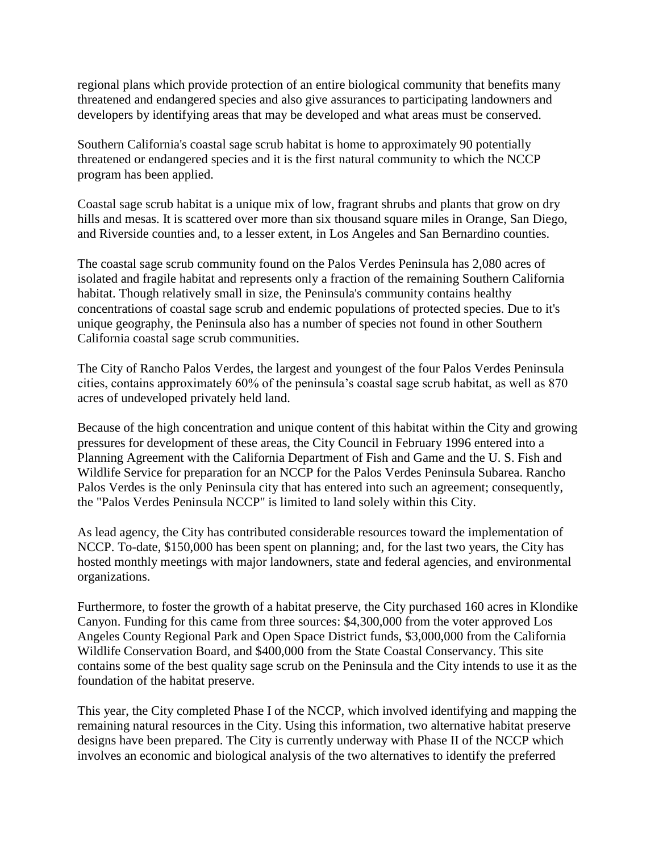regional plans which provide protection of an entire biological community that benefits many threatened and endangered species and also give assurances to participating landowners and developers by identifying areas that may be developed and what areas must be conserved.

Southern California's coastal sage scrub habitat is home to approximately 90 potentially threatened or endangered species and it is the first natural community to which the NCCP program has been applied.

Coastal sage scrub habitat is a unique mix of low, fragrant shrubs and plants that grow on dry hills and mesas. It is scattered over more than six thousand square miles in Orange, San Diego, and Riverside counties and, to a lesser extent, in Los Angeles and San Bernardino counties.

The coastal sage scrub community found on the Palos Verdes Peninsula has 2,080 acres of isolated and fragile habitat and represents only a fraction of the remaining Southern California habitat. Though relatively small in size, the Peninsula's community contains healthy concentrations of coastal sage scrub and endemic populations of protected species. Due to it's unique geography, the Peninsula also has a number of species not found in other Southern California coastal sage scrub communities.

The City of Rancho Palos Verdes, the largest and youngest of the four Palos Verdes Peninsula cities, contains approximately 60% of the peninsula's coastal sage scrub habitat, as well as 870 acres of undeveloped privately held land.

Because of the high concentration and unique content of this habitat within the City and growing pressures for development of these areas, the City Council in February 1996 entered into a Planning Agreement with the California Department of Fish and Game and the U. S. Fish and Wildlife Service for preparation for an NCCP for the Palos Verdes Peninsula Subarea. Rancho Palos Verdes is the only Peninsula city that has entered into such an agreement; consequently, the "Palos Verdes Peninsula NCCP" is limited to land solely within this City.

As lead agency, the City has contributed considerable resources toward the implementation of NCCP. To-date, \$150,000 has been spent on planning; and, for the last two years, the City has hosted monthly meetings with major landowners, state and federal agencies, and environmental organizations.

Furthermore, to foster the growth of a habitat preserve, the City purchased 160 acres in Klondike Canyon. Funding for this came from three sources: \$4,300,000 from the voter approved Los Angeles County Regional Park and Open Space District funds, \$3,000,000 from the California Wildlife Conservation Board, and \$400,000 from the State Coastal Conservancy. This site contains some of the best quality sage scrub on the Peninsula and the City intends to use it as the foundation of the habitat preserve.

This year, the City completed Phase I of the NCCP, which involved identifying and mapping the remaining natural resources in the City. Using this information, two alternative habitat preserve designs have been prepared. The City is currently underway with Phase II of the NCCP which involves an economic and biological analysis of the two alternatives to identify the preferred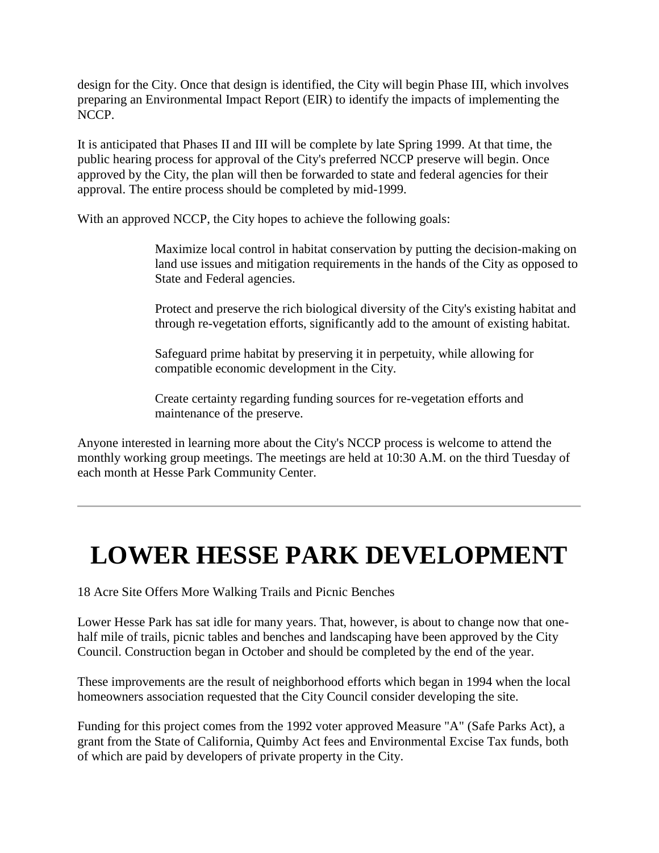design for the City. Once that design is identified, the City will begin Phase III, which involves preparing an Environmental Impact Report (EIR) to identify the impacts of implementing the NCCP.

It is anticipated that Phases II and III will be complete by late Spring 1999. At that time, the public hearing process for approval of the City's preferred NCCP preserve will begin. Once approved by the City, the plan will then be forwarded to state and federal agencies for their approval. The entire process should be completed by mid-1999.

With an approved NCCP, the City hopes to achieve the following goals:

Maximize local control in habitat conservation by putting the decision-making on land use issues and mitigation requirements in the hands of the City as opposed to State and Federal agencies.

Protect and preserve the rich biological diversity of the City's existing habitat and through re-vegetation efforts, significantly add to the amount of existing habitat.

Safeguard prime habitat by preserving it in perpetuity, while allowing for compatible economic development in the City.

Create certainty regarding funding sources for re-vegetation efforts and maintenance of the preserve.

Anyone interested in learning more about the City's NCCP process is welcome to attend the monthly working group meetings. The meetings are held at 10:30 A.M. on the third Tuesday of each month at Hesse Park Community Center.

## **LOWER HESSE PARK DEVELOPMENT**

18 Acre Site Offers More Walking Trails and Picnic Benches

Lower Hesse Park has sat idle for many years. That, however, is about to change now that onehalf mile of trails, picnic tables and benches and landscaping have been approved by the City Council. Construction began in October and should be completed by the end of the year.

These improvements are the result of neighborhood efforts which began in 1994 when the local homeowners association requested that the City Council consider developing the site.

Funding for this project comes from the 1992 voter approved Measure "A" (Safe Parks Act), a grant from the State of California, Quimby Act fees and Environmental Excise Tax funds, both of which are paid by developers of private property in the City.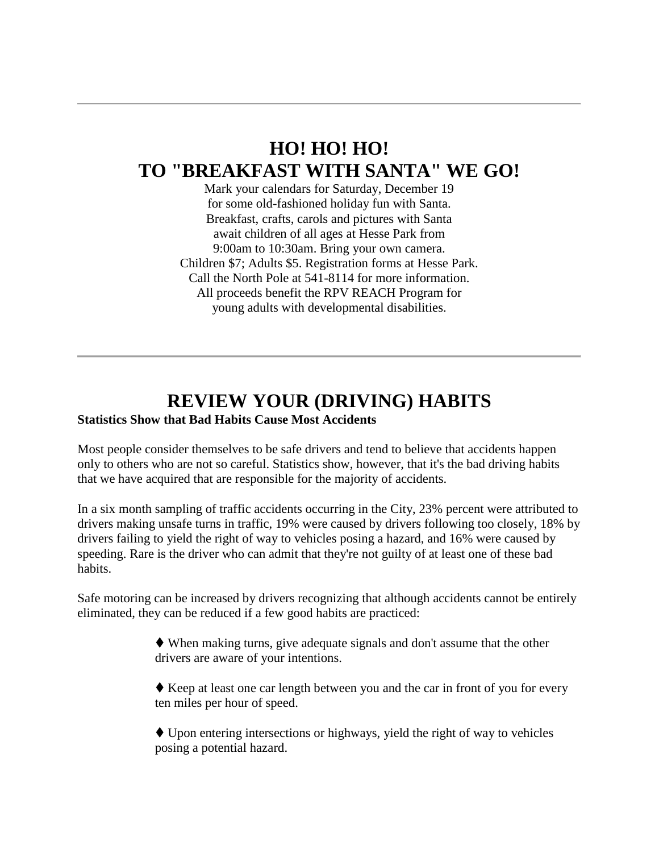### **HO! HO! HO! TO "BREAKFAST WITH SANTA" WE GO!**

Mark your calendars for Saturday, December 19 for some old-fashioned holiday fun with Santa. Breakfast, crafts, carols and pictures with Santa await children of all ages at Hesse Park from 9:00am to 10:30am. Bring your own camera. Children \$7; Adults \$5. Registration forms at Hesse Park. Call the North Pole at 541-8114 for more information. All proceeds benefit the RPV REACH Program for young adults with developmental disabilities.

### **REVIEW YOUR (DRIVING) HABITS**

#### **Statistics Show that Bad Habits Cause Most Accidents**

Most people consider themselves to be safe drivers and tend to believe that accidents happen only to others who are not so careful. Statistics show, however, that it's the bad driving habits that we have acquired that are responsible for the majority of accidents.

In a six month sampling of traffic accidents occurring in the City, 23% percent were attributed to drivers making unsafe turns in traffic, 19% were caused by drivers following too closely, 18% by drivers failing to yield the right of way to vehicles posing a hazard, and 16% were caused by speeding. Rare is the driver who can admit that they're not guilty of at least one of these bad habits.

Safe motoring can be increased by drivers recognizing that although accidents cannot be entirely eliminated, they can be reduced if a few good habits are practiced:

> When making turns, give adequate signals and don't assume that the other drivers are aware of your intentions.

 Keep at least one car length between you and the car in front of you for every ten miles per hour of speed.

 Upon entering intersections or highways, yield the right of way to vehicles posing a potential hazard.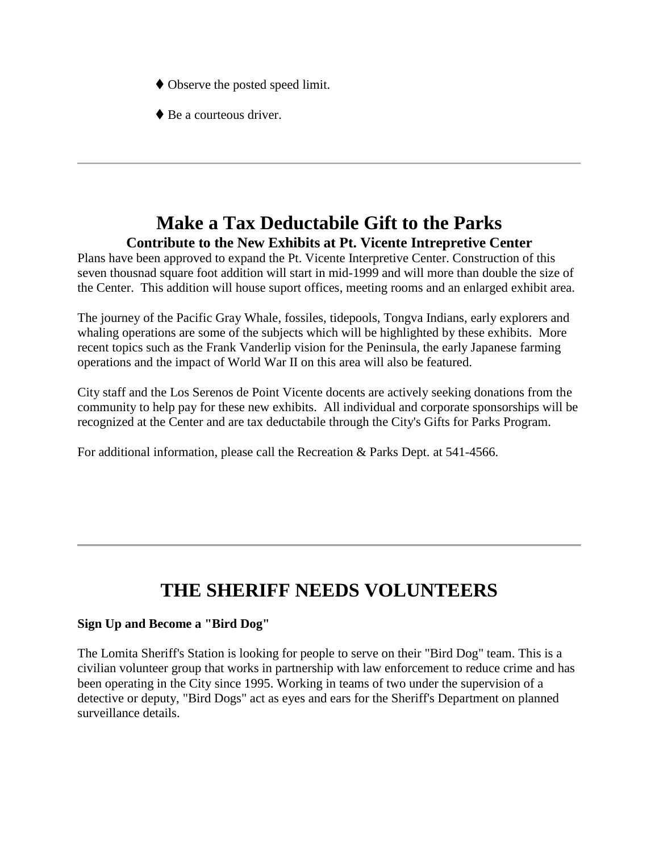- Observe the posted speed limit.
- $\blacklozenge$  Be a courteous driver.

### **Make a Tax Deductabile Gift to the Parks Contribute to the New Exhibits at Pt. Vicente Intrepretive Center**

Plans have been approved to expand the Pt. Vicente Interpretive Center. Construction of this seven thousnad square foot addition will start in mid-1999 and will more than double the size of the Center. This addition will house suport offices, meeting rooms and an enlarged exhibit area.

The journey of the Pacific Gray Whale, fossiles, tidepools, Tongva Indians, early explorers and whaling operations are some of the subjects which will be highlighted by these exhibits. More recent topics such as the Frank Vanderlip vision for the Peninsula, the early Japanese farming operations and the impact of World War II on this area will also be featured.

City staff and the Los Serenos de Point Vicente docents are actively seeking donations from the community to help pay for these new exhibits. All individual and corporate sponsorships will be recognized at the Center and are tax deductabile through the City's Gifts for Parks Program.

For additional information, please call the Recreation & Parks Dept. at 541-4566.

## **THE SHERIFF NEEDS VOLUNTEERS**

#### **Sign Up and Become a "Bird Dog"**

The Lomita Sheriff's Station is looking for people to serve on their "Bird Dog" team. This is a civilian volunteer group that works in partnership with law enforcement to reduce crime and has been operating in the City since 1995. Working in teams of two under the supervision of a detective or deputy, "Bird Dogs" act as eyes and ears for the Sheriff's Department on planned surveillance details.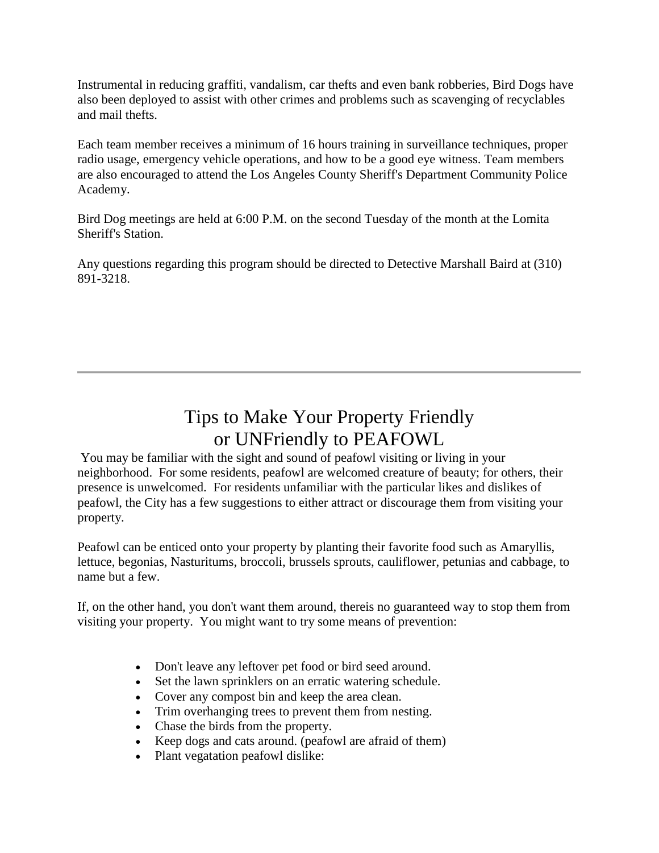Instrumental in reducing graffiti, vandalism, car thefts and even bank robberies, Bird Dogs have also been deployed to assist with other crimes and problems such as scavenging of recyclables and mail thefts.

Each team member receives a minimum of 16 hours training in surveillance techniques, proper radio usage, emergency vehicle operations, and how to be a good eye witness. Team members are also encouraged to attend the Los Angeles County Sheriff's Department Community Police Academy.

Bird Dog meetings are held at 6:00 P.M. on the second Tuesday of the month at the Lomita Sheriff's Station.

Any questions regarding this program should be directed to Detective Marshall Baird at (310) 891-3218.

### Tips to Make Your Property Friendly or UNFriendly to PEAFOWL

You may be familiar with the sight and sound of peafowl visiting or living in your neighborhood. For some residents, peafowl are welcomed creature of beauty; for others, their presence is unwelcomed. For residents unfamiliar with the particular likes and dislikes of peafowl, the City has a few suggestions to either attract or discourage them from visiting your property.

Peafowl can be enticed onto your property by planting their favorite food such as Amaryllis, lettuce, begonias, Nasturitums, broccoli, brussels sprouts, cauliflower, petunias and cabbage, to name but a few.

If, on the other hand, you don't want them around, thereis no guaranteed way to stop them from visiting your property. You might want to try some means of prevention:

- Don't leave any leftover pet food or bird seed around.
- Set the lawn sprinklers on an erratic watering schedule.
- Cover any compost bin and keep the area clean.
- Trim overhanging trees to prevent them from nesting.
- Chase the birds from the property.
- Keep dogs and cats around. (peafowl are afraid of them)
- Plant vegatation peafowl dislike: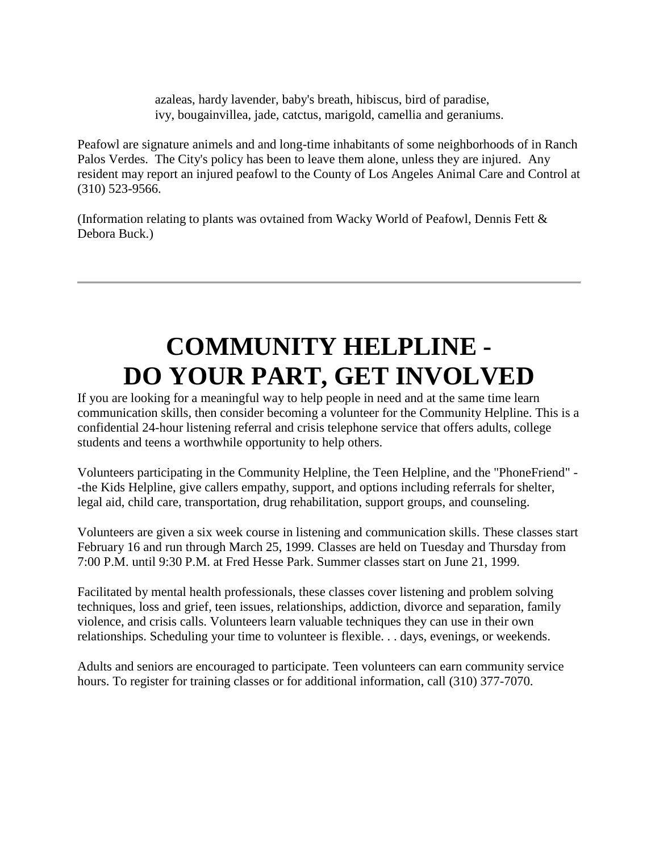azaleas, hardy lavender, baby's breath, hibiscus, bird of paradise, ivy, bougainvillea, jade, catctus, marigold, camellia and geraniums.

Peafowl are signature animels and and long-time inhabitants of some neighborhoods of in Ranch Palos Verdes. The City's policy has been to leave them alone, unless they are injured. Any resident may report an injured peafowl to the County of Los Angeles Animal Care and Control at (310) 523-9566.

(Information relating to plants was ovtained from Wacky World of Peafowl, Dennis Fett & Debora Buck.)

# **COMMUNITY HELPLINE - DO YOUR PART, GET INVOLVED**

If you are looking for a meaningful way to help people in need and at the same time learn communication skills, then consider becoming a volunteer for the Community Helpline. This is a confidential 24-hour listening referral and crisis telephone service that offers adults, college students and teens a worthwhile opportunity to help others.

Volunteers participating in the Community Helpline, the Teen Helpline, and the "PhoneFriend" - -the Kids Helpline, give callers empathy, support, and options including referrals for shelter, legal aid, child care, transportation, drug rehabilitation, support groups, and counseling.

Volunteers are given a six week course in listening and communication skills. These classes start February 16 and run through March 25, 1999. Classes are held on Tuesday and Thursday from 7:00 P.M. until 9:30 P.M. at Fred Hesse Park. Summer classes start on June 21, 1999.

Facilitated by mental health professionals, these classes cover listening and problem solving techniques, loss and grief, teen issues, relationships, addiction, divorce and separation, family violence, and crisis calls. Volunteers learn valuable techniques they can use in their own relationships. Scheduling your time to volunteer is flexible. . . days, evenings, or weekends.

Adults and seniors are encouraged to participate. Teen volunteers can earn community service hours. To register for training classes or for additional information, call (310) 377-7070.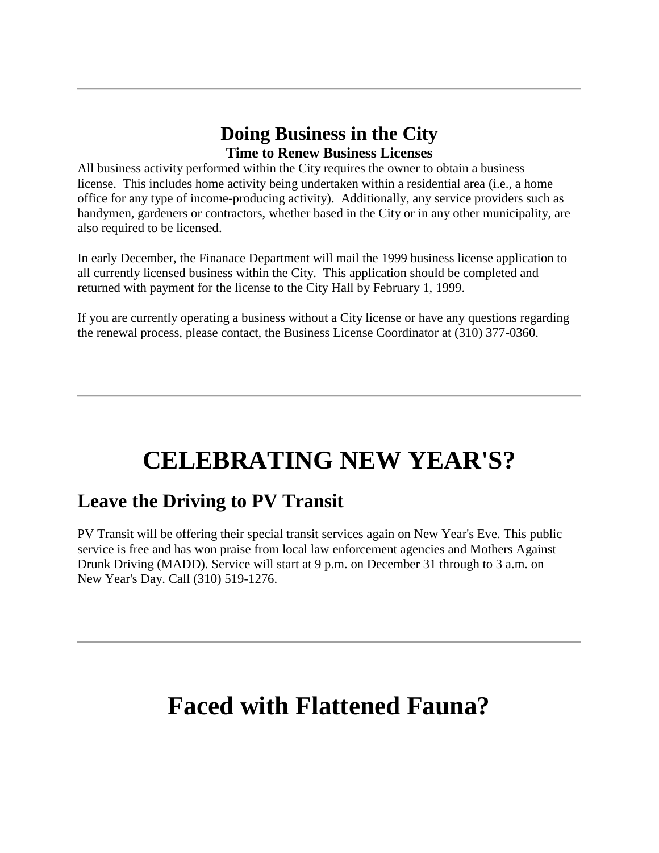### **Doing Business in the City Time to Renew Business Licenses**

All business activity performed within the City requires the owner to obtain a business license. This includes home activity being undertaken within a residential area (i.e., a home office for any type of income-producing activity). Additionally, any service providers such as handymen, gardeners or contractors, whether based in the City or in any other municipality, are also required to be licensed.

In early December, the Finanace Department will mail the 1999 business license application to all currently licensed business within the City. This application should be completed and returned with payment for the license to the City Hall by February 1, 1999.

If you are currently operating a business without a City license or have any questions regarding the renewal process, please contact, the Business License Coordinator at (310) 377-0360.

# **CELEBRATING NEW YEAR'S?**

## **Leave the Driving to PV Transit**

PV Transit will be offering their special transit services again on New Year's Eve. This public service is free and has won praise from local law enforcement agencies and Mothers Against Drunk Driving (MADD). Service will start at 9 p.m. on December 31 through to 3 a.m. on New Year's Day. Call (310) 519-1276.

## **Faced with Flattened Fauna?**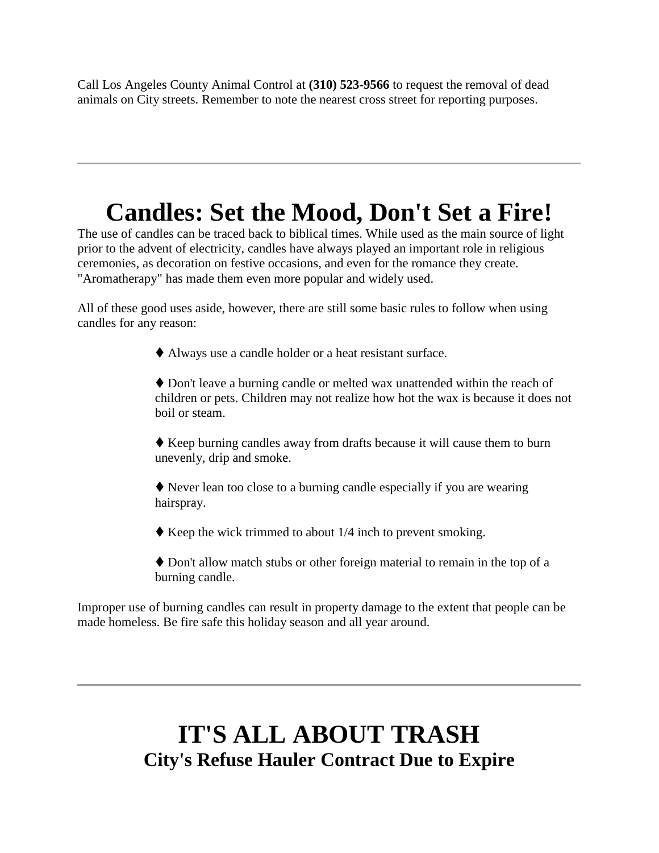Call Los Angeles County Animal Control at **(310) 523-9566** to request the removal of dead animals on City streets. Remember to note the nearest cross street for reporting purposes.

## **Candles: Set the Mood, Don't Set a Fire!**

The use of candles can be traced back to biblical times. While used as the main source of light prior to the advent of electricity, candles have always played an important role in religious ceremonies, as decoration on festive occasions, and even for the romance they create. "Aromatherapy" has made them even more popular and widely used.

All of these good uses aside, however, there are still some basic rules to follow when using candles for any reason:

Always use a candle holder or a heat resistant surface.

 Don't leave a burning candle or melted wax unattended within the reach of children or pets. Children may not realize how hot the wax is because it does not boil or steam.

 Keep burning candles away from drafts because it will cause them to burn unevenly, drip and smoke.

 Never lean too close to a burning candle especially if you are wearing hairspray.

- $\blacklozenge$  Keep the wick trimmed to about 1/4 inch to prevent smoking.
- Don't allow match stubs or other foreign material to remain in the top of a burning candle.

Improper use of burning candles can result in property damage to the extent that people can be made homeless. Be fire safe this holiday season and all year around.

## **IT'S ALL ABOUT TRASH City's Refuse Hauler Contract Due to Expire**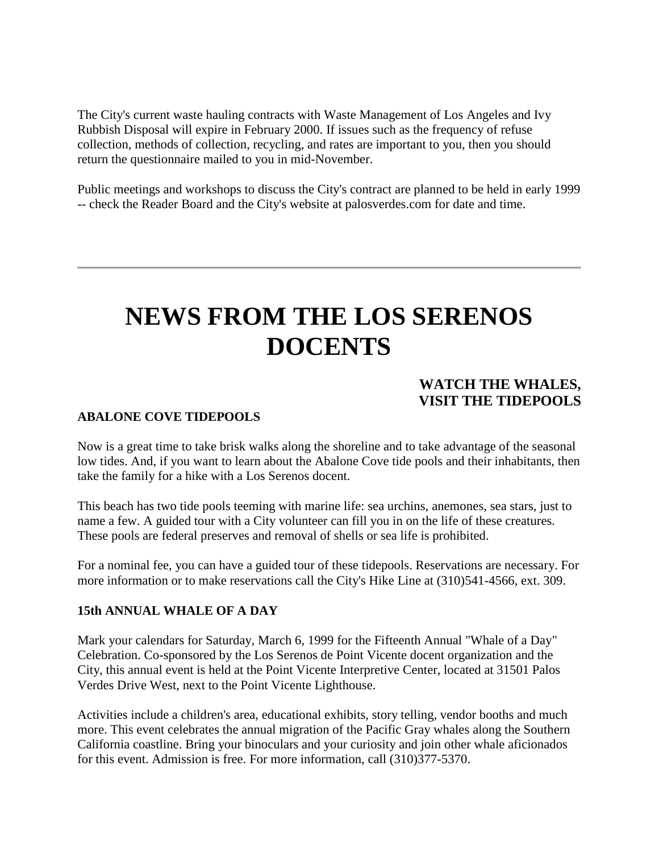The City's current waste hauling contracts with Waste Management of Los Angeles and Ivy Rubbish Disposal will expire in February 2000. If issues such as the frequency of refuse collection, methods of collection, recycling, and rates are important to you, then you should return the questionnaire mailed to you in mid-November.

Public meetings and workshops to discuss the City's contract are planned to be held in early 1999 -- check the Reader Board and the City's website at palosverdes.com for date and time.

## **NEWS FROM THE LOS SERENOS DOCENTS**

#### **WATCH THE WHALES, VISIT THE TIDEPOOLS**

#### **ABALONE COVE TIDEPOOLS**

Now is a great time to take brisk walks along the shoreline and to take advantage of the seasonal low tides. And, if you want to learn about the Abalone Cove tide pools and their inhabitants, then take the family for a hike with a Los Serenos docent.

This beach has two tide pools teeming with marine life: sea urchins, anemones, sea stars, just to name a few. A guided tour with a City volunteer can fill you in on the life of these creatures. These pools are federal preserves and removal of shells or sea life is prohibited.

For a nominal fee, you can have a guided tour of these tidepools. Reservations are necessary. For more information or to make reservations call the City's Hike Line at (310)541-4566, ext. 309.

#### **15th ANNUAL WHALE OF A DAY**

Mark your calendars for Saturday, March 6, 1999 for the Fifteenth Annual "Whale of a Day" Celebration. Co-sponsored by the Los Serenos de Point Vicente docent organization and the City, this annual event is held at the Point Vicente Interpretive Center, located at 31501 Palos Verdes Drive West, next to the Point Vicente Lighthouse.

Activities include a children's area, educational exhibits, story telling, vendor booths and much more. This event celebrates the annual migration of the Pacific Gray whales along the Southern California coastline. Bring your binoculars and your curiosity and join other whale aficionados for this event. Admission is free. For more information, call (310)377-5370.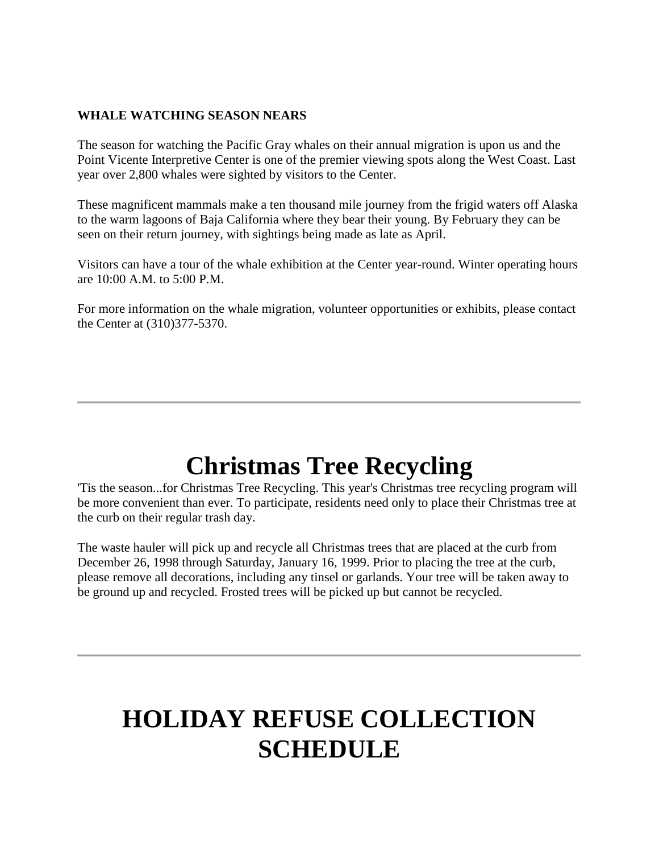#### **WHALE WATCHING SEASON NEARS**

The season for watching the Pacific Gray whales on their annual migration is upon us and the Point Vicente Interpretive Center is one of the premier viewing spots along the West Coast. Last year over 2,800 whales were sighted by visitors to the Center.

These magnificent mammals make a ten thousand mile journey from the frigid waters off Alaska to the warm lagoons of Baja California where they bear their young. By February they can be seen on their return journey, with sightings being made as late as April.

Visitors can have a tour of the whale exhibition at the Center year-round. Winter operating hours are 10:00 A.M. to 5:00 P.M.

For more information on the whale migration, volunteer opportunities or exhibits, please contact the Center at (310)377-5370.

## **Christmas Tree Recycling**

'Tis the season...for Christmas Tree Recycling. This year's Christmas tree recycling program will be more convenient than ever. To participate, residents need only to place their Christmas tree at the curb on their regular trash day.

The waste hauler will pick up and recycle all Christmas trees that are placed at the curb from December 26, 1998 through Saturday, January 16, 1999. Prior to placing the tree at the curb, please remove all decorations, including any tinsel or garlands. Your tree will be taken away to be ground up and recycled. Frosted trees will be picked up but cannot be recycled.

# **HOLIDAY REFUSE COLLECTION SCHEDULE**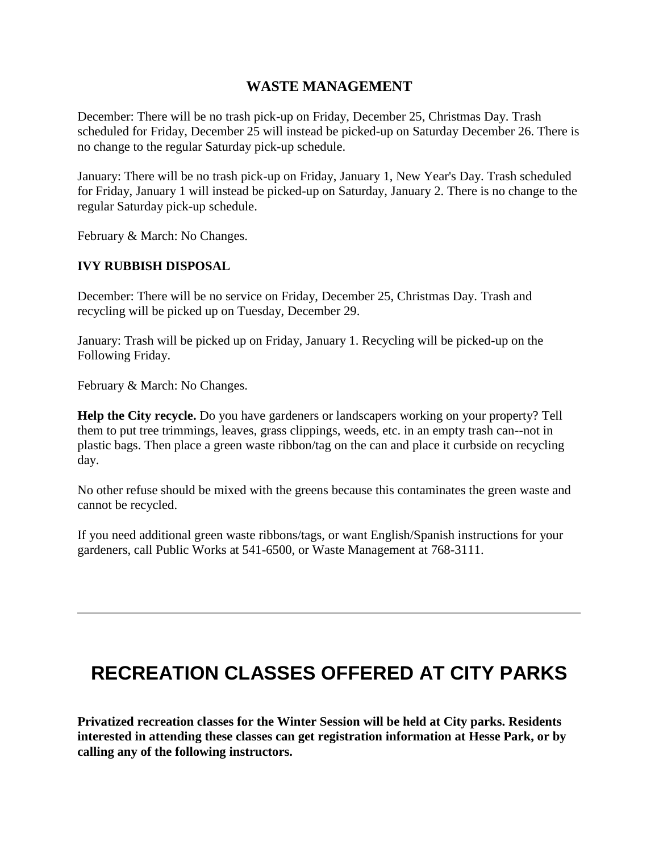#### **WASTE MANAGEMENT**

December: There will be no trash pick-up on Friday, December 25, Christmas Day. Trash scheduled for Friday, December 25 will instead be picked-up on Saturday December 26. There is no change to the regular Saturday pick-up schedule.

January: There will be no trash pick-up on Friday, January 1, New Year's Day. Trash scheduled for Friday, January 1 will instead be picked-up on Saturday, January 2. There is no change to the regular Saturday pick-up schedule.

February & March: No Changes.

#### **IVY RUBBISH DISPOSAL**

December: There will be no service on Friday, December 25, Christmas Day. Trash and recycling will be picked up on Tuesday, December 29.

January: Trash will be picked up on Friday, January 1. Recycling will be picked-up on the Following Friday.

February & March: No Changes.

**Help the City recycle.** Do you have gardeners or landscapers working on your property? Tell them to put tree trimmings, leaves, grass clippings, weeds, etc. in an empty trash can--not in plastic bags. Then place a green waste ribbon/tag on the can and place it curbside on recycling day.

No other refuse should be mixed with the greens because this contaminates the green waste and cannot be recycled.

If you need additional green waste ribbons/tags, or want English/Spanish instructions for your gardeners, call Public Works at 541-6500, or Waste Management at 768-3111.

### **RECREATION CLASSES OFFERED AT CITY PARKS**

**Privatized recreation classes for the Winter Session will be held at City parks. Residents interested in attending these classes can get registration information at Hesse Park, or by calling any of the following instructors.**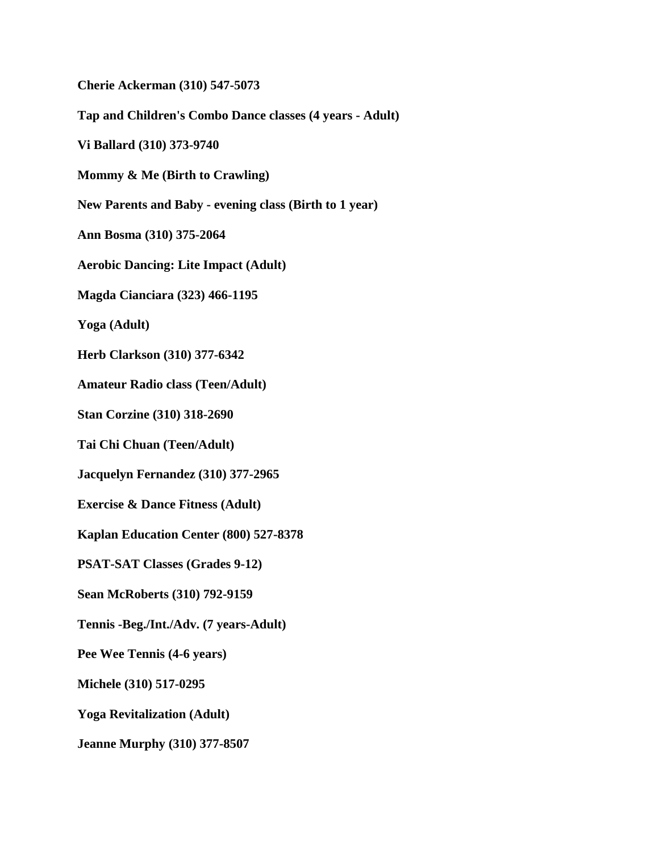**Cherie Ackerman (310) 547-5073 Tap and Children's Combo Dance classes (4 years - Adult) Vi Ballard (310) 373-9740 Mommy & Me (Birth to Crawling) New Parents and Baby - evening class (Birth to 1 year) Ann Bosma (310) 375-2064 Aerobic Dancing: Lite Impact (Adult) Magda Cianciara (323) 466-1195 Yoga (Adult) Herb Clarkson (310) 377-6342 Amateur Radio class (Teen/Adult) Stan Corzine (310) 318-2690 Tai Chi Chuan (Teen/Adult) Jacquelyn Fernandez (310) 377-2965 Exercise & Dance Fitness (Adult) Kaplan Education Center (800) 527-8378 PSAT-SAT Classes (Grades 9-12) Sean McRoberts (310) 792-9159 Tennis -Beg./Int./Adv. (7 years-Adult) Pee Wee Tennis (4-6 years) Michele (310) 517-0295 Yoga Revitalization (Adult) Jeanne Murphy (310) 377-8507**